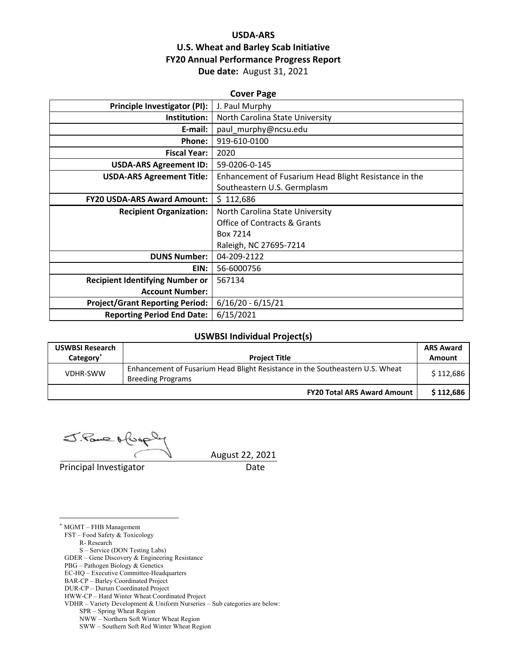## **USDA‐ARS U.S. Wheat and Barley Scab Initiative FY20 Annual Performance Progress Report Due date:** August 31, 2021

| <b>Cover Page</b>                      |                                                       |  |  |  |
|----------------------------------------|-------------------------------------------------------|--|--|--|
| <b>Principle Investigator (PI):</b>    | J. Paul Murphy                                        |  |  |  |
| Institution:                           | North Carolina State University                       |  |  |  |
| E-mail:                                | paul_murphy@ncsu.edu                                  |  |  |  |
| Phone:                                 | 919-610-0100                                          |  |  |  |
| <b>Fiscal Year:</b>                    | 2020                                                  |  |  |  |
| <b>USDA-ARS Agreement ID:</b>          | 59-0206-0-145                                         |  |  |  |
| <b>USDA-ARS Agreement Title:</b>       | Enhancement of Fusarium Head Blight Resistance in the |  |  |  |
|                                        | Southeastern U.S. Germplasm                           |  |  |  |
| <b>FY20 USDA-ARS Award Amount:</b>     | \$112,686                                             |  |  |  |
| <b>Recipient Organization:</b>         | North Carolina State University                       |  |  |  |
|                                        | <b>Office of Contracts &amp; Grants</b>               |  |  |  |
|                                        | Box 7214                                              |  |  |  |
|                                        | Raleigh, NC 27695-7214                                |  |  |  |
| <b>DUNS Number:</b>                    | 04-209-2122                                           |  |  |  |
| EIN:                                   | 56-6000756                                            |  |  |  |
| <b>Recipient Identifying Number or</b> | 567134                                                |  |  |  |
| <b>Account Number:</b>                 |                                                       |  |  |  |
| <b>Project/Grant Reporting Period:</b> | $6/16/20 - 6/15/21$                                   |  |  |  |
| <b>Reporting Period End Date:</b>      | 6/15/2021                                             |  |  |  |

#### **USWBSI Individual Project(s)**

| <b>USWBSI Research</b><br>Category <sup>®</sup> | <b>Project Title</b>                                                                                      | <b>ARS Award</b><br>Amount |
|-------------------------------------------------|-----------------------------------------------------------------------------------------------------------|----------------------------|
| <b>VDHR-SWW</b>                                 | Enhancement of Fusarium Head Blight Resistance in the Southeastern U.S. Wheat<br><b>Breeding Programs</b> | \$112,686                  |
|                                                 | <b>FY20 Total ARS Award Amount</b>                                                                        | \$112,686                  |

J. Paul Afus

Principal Investigator **Date** 

August 22, 2021

<u>.</u> \* MGMT – FHB Management

FST – Food Safety & Toxicology

R- Research

S – Service (DON Testing Labs)

GDER – Gene Discovery & Engineering Resistance

PBG – Pathogen Biology & Genetics

EC-HQ – Executive Committee-Headquarters

BAR-CP – Barley Coordinated Project DUR-CP – Durum Coordinated Project

HWW-CP – Hard Winter Wheat Coordinated Project

VDHR – Variety Development & Uniform Nurseries – Sub categories are below:

SPR – Spring Wheat Region

NWW – Northern Soft Winter Wheat Region

SWW – Southern Soft Red Winter Wheat Region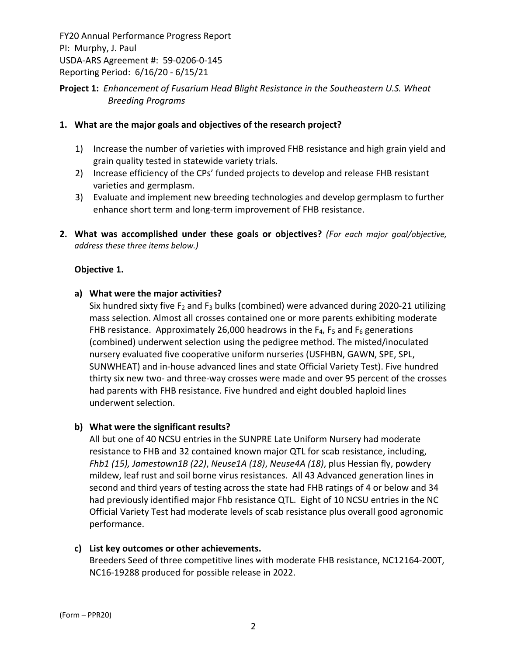## **Project 1:** *Enhancement of Fusarium Head Blight Resistance in the Southeastern U.S. Wheat Breeding Programs*

### **1. What are the major goals and objectives of the research project?**

- 1) Increase the number of varieties with improved FHB resistance and high grain yield and grain quality tested in statewide variety trials.
- 2) Increase efficiency of the CPs' funded projects to develop and release FHB resistant varieties and germplasm.
- 3) Evaluate and implement new breeding technologies and develop germplasm to further enhance short term and long‐term improvement of FHB resistance.
- **2. What was accomplished under these goals or objectives?** *(For each major goal/objective, address these three items below.)*

#### **Objective 1.**

## **a) What were the major activities?**

Six hundred sixty five  $F_2$  and  $F_3$  bulks (combined) were advanced during 2020-21 utilizing mass selection. Almost all crosses contained one or more parents exhibiting moderate FHB resistance. Approximately 26,000 headrows in the  $F_4$ ,  $F_5$  and  $F_6$  generations (combined) underwent selection using the pedigree method. The misted/inoculated nursery evaluated five cooperative uniform nurseries (USFHBN, GAWN, SPE, SPL, SUNWHEAT) and in‐house advanced lines and state Official Variety Test). Five hundred thirty six new two‐ and three‐way crosses were made and over 95 percent of the crosses had parents with FHB resistance. Five hundred and eight doubled haploid lines underwent selection.

#### **b) What were the significant results?**

All but one of 40 NCSU entries in the SUNPRE Late Uniform Nursery had moderate resistance to FHB and 32 contained known major QTL for scab resistance, including, *Fhb1 (15), Jamestown1B (22)*, *Neuse1A (18)*, *Neuse4A (18)*, plus Hessian fly, powdery mildew, leaf rust and soil borne virus resistances. All 43 Advanced generation lines in second and third years of testing across the state had FHB ratings of 4 or below and 34 had previously identified major Fhb resistance QTL. Eight of 10 NCSU entries in the NC Official Variety Test had moderate levels of scab resistance plus overall good agronomic performance.

#### **c) List key outcomes or other achievements.**

Breeders Seed of three competitive lines with moderate FHB resistance, NC12164‐200T, NC16‐19288 produced for possible release in 2022.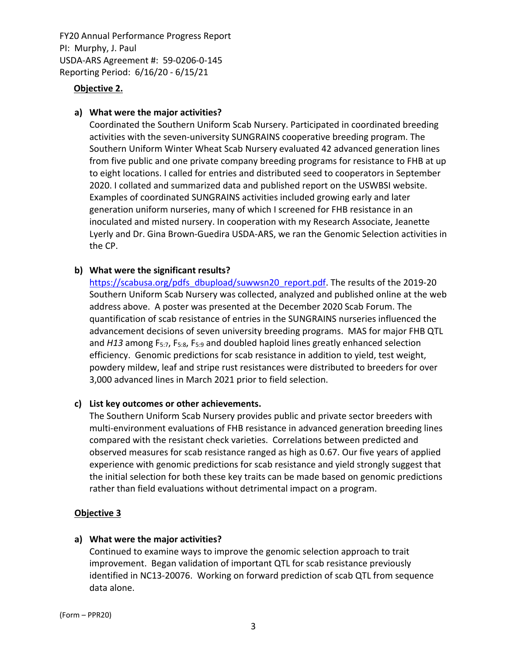### **Objective 2.**

### **a) What were the major activities?**

Coordinated the Southern Uniform Scab Nursery. Participated in coordinated breeding activities with the seven‐university SUNGRAINS cooperative breeding program. The Southern Uniform Winter Wheat Scab Nursery evaluated 42 advanced generation lines from five public and one private company breeding programs for resistance to FHB at up to eight locations. I called for entries and distributed seed to cooperators in September 2020. I collated and summarized data and published report on the USWBSI website. Examples of coordinated SUNGRAINS activities included growing early and later generation uniform nurseries, many of which I screened for FHB resistance in an inoculated and misted nursery. In cooperation with my Research Associate, Jeanette Lyerly and Dr. Gina Brown‐Guedira USDA‐ARS, we ran the Genomic Selection activities in the CP.

## **b) What were the significant results?**

https://scabusa.org/pdfs\_dbupload/suwwsn20\_report.pdf. The results of the 2019-20 Southern Uniform Scab Nursery was collected, analyzed and published online at the web address above. A poster was presented at the December 2020 Scab Forum. The quantification of scab resistance of entries in the SUNGRAINS nurseries influenced the advancement decisions of seven university breeding programs. MAS for major FHB QTL and *H13* among F5:7, F5:8, F5:9 and doubled haploid lines greatly enhanced selection efficiency. Genomic predictions for scab resistance in addition to yield, test weight, powdery mildew, leaf and stripe rust resistances were distributed to breeders for over 3,000 advanced lines in March 2021 prior to field selection.

#### **c) List key outcomes or other achievements.**

The Southern Uniform Scab Nursery provides public and private sector breeders with multi-environment evaluations of FHB resistance in advanced generation breeding lines compared with the resistant check varieties. Correlations between predicted and observed measures for scab resistance ranged as high as 0.67. Our five years of applied experience with genomic predictions for scab resistance and yield strongly suggest that the initial selection for both these key traits can be made based on genomic predictions rather than field evaluations without detrimental impact on a program.

#### **Objective 3**

#### **a) What were the major activities?**

Continued to examine ways to improve the genomic selection approach to trait improvement. Began validation of important QTL for scab resistance previously identified in NC13‐20076. Working on forward prediction of scab QTL from sequence data alone.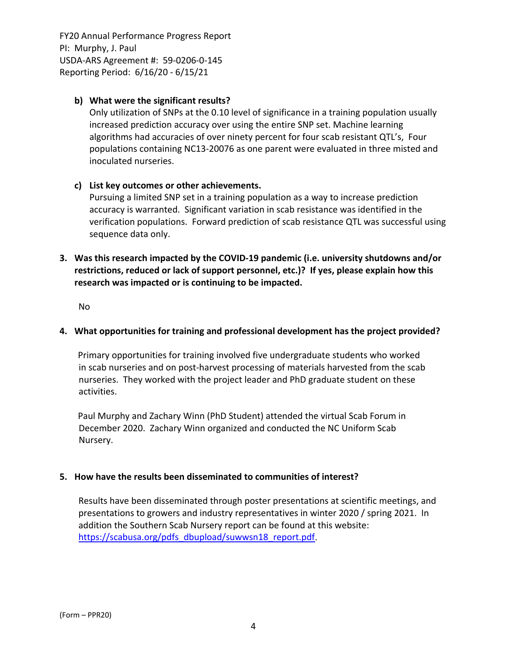## **b) What were the significant results?**

Only utilization of SNPs at the 0.10 level of significance in a training population usually increased prediction accuracy over using the entire SNP set. Machine learning algorithms had accuracies of over ninety percent for four scab resistant QTL's, Four populations containing NC13‐20076 as one parent were evaluated in three misted and inoculated nurseries.

## **c) List key outcomes or other achievements.**

Pursuing a limited SNP set in a training population as a way to increase prediction accuracy is warranted. Significant variation in scab resistance was identified in the verification populations. Forward prediction of scab resistance QTL was successful using sequence data only.

**3. Was this research impacted by the COVID‐19 pandemic (i.e. university shutdowns and/or restrictions, reduced or lack of support personnel, etc.)? If yes, please explain how this research was impacted or is continuing to be impacted.**

No

## **4. What opportunities for training and professional development has the project provided?**

Primary opportunities for training involved five undergraduate students who worked in scab nurseries and on post‐harvest processing of materials harvested from the scab nurseries. They worked with the project leader and PhD graduate student on these activities.

Paul Murphy and Zachary Winn (PhD Student) attended the virtual Scab Forum in December 2020. Zachary Winn organized and conducted the NC Uniform Scab Nursery.

## **5. How have the results been disseminated to communities of interest?**

Results have been disseminated through poster presentations at scientific meetings, and presentations to growers and industry representatives in winter 2020 / spring 2021. In addition the Southern Scab Nursery report can be found at this website: https://scabusa.org/pdfs\_dbupload/suwwsn18\_report.pdf.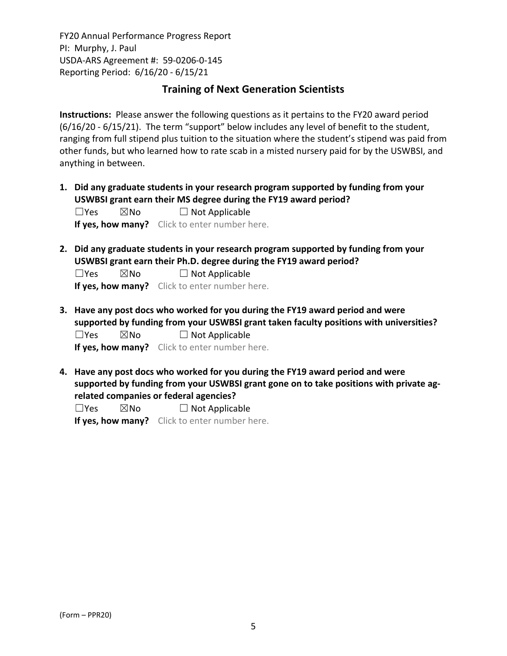## **Training of Next Generation Scientists**

**Instructions:** Please answer the following questions as it pertains to the FY20 award period (6/16/20 ‐ 6/15/21). The term "support" below includes any level of benefit to the student, ranging from full stipend plus tuition to the situation where the student's stipend was paid from other funds, but who learned how to rate scab in a misted nursery paid for by the USWBSI, and anything in between.

**1. Did any graduate students in your research program supported by funding from your USWBSI grant earn their MS degree during the FY19 award period?**

| $\Box$ Yes | $\boxtimes$ No | $\Box$ Not Applicable |
|------------|----------------|-----------------------|
|            |                |                       |

**If yes, how many?** Click to enter number here.

**2. Did any graduate students in your research program supported by funding from your USWBSI grant earn their Ph.D. degree during the FY19 award period?**

 $\square$ Yes  $\square$ No  $\square$  Not Applicable **If yes, how many?** Click to enter number here.

**3. Have any post docs who worked for you during the FY19 award period and were supported by funding from your USWBSI grant taken faculty positions with universities?**

 $\Box$ Yes  $\boxtimes$ No  $\Box$  Not Applicable **If yes, how many?** Click to enter number here.

**4. Have any post docs who worked for you during the FY19 award period and were supported by funding from your USWBSI grant gone on to take positions with private ag‐ related companies or federal agencies?**

 $\square$ Yes  $\square$ No  $\square$  Not Applicable

**If yes, how many?** Click to enter number here.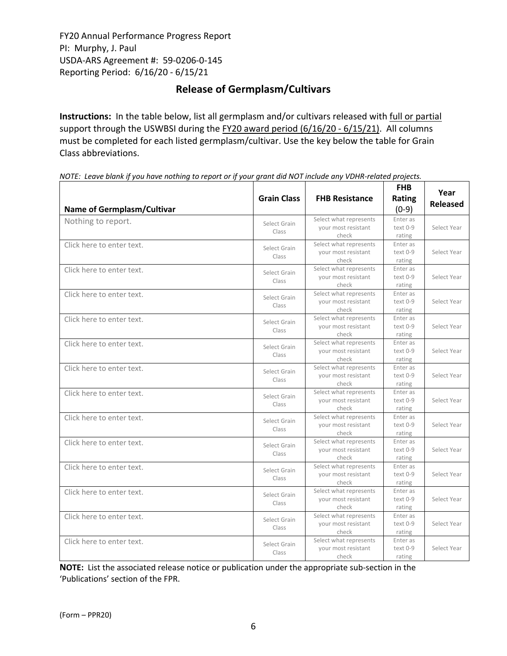## **Release of Germplasm/Cultivars**

**Instructions:** In the table below, list all germplasm and/or cultivars released with full or partial support through the USWBSI during the FY20 award period (6/16/20 - 6/15/21). All columns must be completed for each listed germplasm/cultivar. Use the key below the table for Grain Class abbreviations. 

| <b>Name of Germplasm/Cultivar</b> | <b>Grain Class</b>    | <b>FHB Resistance</b>                                  | <b>FHB</b><br>Rating<br>$(0-9)$  | Year<br><b>Released</b> |
|-----------------------------------|-----------------------|--------------------------------------------------------|----------------------------------|-------------------------|
| Nothing to report.                | Select Grain<br>Class | Select what represents<br>your most resistant<br>check | Enter as<br>$text 0-9$<br>rating | Select Year             |
| Click here to enter text.         | Select Grain<br>Class | Select what represents<br>your most resistant<br>check | Enter as<br>text 0-9<br>rating   | Select Year             |
| Click here to enter text.         | Select Grain<br>Class | Select what represents<br>your most resistant<br>check | Enter as<br>text 0-9<br>rating   | Select Year             |
| Click here to enter text.         | Select Grain<br>Class | Select what represents<br>your most resistant<br>check | Enter as<br>text 0-9<br>rating   | Select Year             |
| Click here to enter text.         | Select Grain<br>Class | Select what represents<br>your most resistant<br>check | Enter as<br>text 0-9<br>rating   | Select Year             |
| Click here to enter text.         | Select Grain<br>Class | Select what represents<br>your most resistant<br>check | Enter as<br>text 0-9<br>rating   | Select Year             |
| Click here to enter text.         | Select Grain<br>Class | Select what represents<br>your most resistant<br>check | Enter as<br>text 0-9<br>rating   | Select Year             |
| Click here to enter text.         | Select Grain<br>Class | Select what represents<br>your most resistant<br>check | Enter as<br>text 0-9<br>rating   | Select Year             |
| Click here to enter text.         | Select Grain<br>Class | Select what represents<br>your most resistant<br>check | Enter as<br>text 0-9<br>rating   | Select Year             |
| Click here to enter text.         | Select Grain<br>Class | Select what represents<br>your most resistant<br>check | Enter as<br>text 0-9<br>rating   | Select Year             |
| Click here to enter text.         | Select Grain<br>Class | Select what represents<br>your most resistant<br>check | Enter as<br>text 0-9<br>rating   | Select Year             |
| Click here to enter text.         | Select Grain<br>Class | Select what represents<br>vour most resistant<br>check | Enter as<br>text 0-9<br>rating   | Select Year             |
| Click here to enter text.         | Select Grain<br>Class | Select what represents<br>your most resistant<br>check | Enter as<br>text 0-9<br>rating   | Select Year             |
| Click here to enter text.         | Select Grain<br>Class | Select what represents<br>vour most resistant<br>check | Enter as<br>text 0-9<br>rating   | Select Year             |

NOTE: Leave blank if you have nothing to report or if your grant did NOT include any VDHR-related projects.

**NOTE:** List the associated release notice or publication under the appropriate sub-section in the 'Publications' section of the FPR.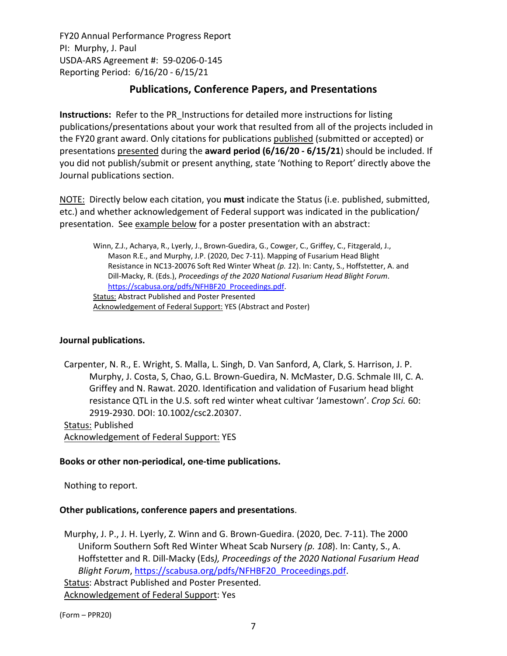# **Publications, Conference Papers, and Presentations**

**Instructions:** Refer to the PR\_Instructions for detailed more instructions for listing publications/presentations about your work that resulted from all of the projects included in the FY20 grant award. Only citations for publications published (submitted or accepted) or presentations presented during the **award period (6/16/20 ‐ 6/15/21**) should be included. If you did not publish/submit or present anything, state 'Nothing to Report' directly above the Journal publications section.

NOTE: Directly below each citation, you **must** indicate the Status (i.e. published, submitted, etc.) and whether acknowledgement of Federal support was indicated in the publication/ presentation. See example below for a poster presentation with an abstract:

Winn, Z.J., Acharya, R., Lyerly, J., Brown‐Guedira, G., Cowger, C., Griffey, C., Fitzgerald, J., Mason R.E., and Murphy, J.P. (2020, Dec 7‐11). Mapping of Fusarium Head Blight Resistance in NC13‐20076 Soft Red Winter Wheat *(p. 1*2). In: Canty, S., Hoffstetter, A. and Dill‐Macky, R. (Eds.), *Proceedings of the 2020 National Fusarium Head Blight Forum*. https://scabusa.org/pdfs/NFHBF20\_Proceedings.pdf. Status: Abstract Published and Poster Presented Acknowledgement of Federal Support: YES (Abstract and Poster)

#### **Journal publications.**

Carpenter, N. R., E. Wright, S. Malla, L. Singh, D. Van Sanford, A, Clark, S. Harrison, J. P. Murphy, J. Costa, S, Chao, G.L. Brown‐Guedira, N. McMaster, D.G. Schmale III, C. A. Griffey and N. Rawat. 2020. Identification and validation of Fusarium head blight resistance QTL in the U.S. soft red winter wheat cultivar 'Jamestown'. *Crop Sci.* 60: 2919‐2930. DOI: 10.1002/csc2.20307.

Status: Published Acknowledgement of Federal Support: YES

## **Books or other non‐periodical, one‐time publications.**

Nothing to report.

## **Other publications, conference papers and presentations**.

Murphy, J. P., J. H. Lyerly, Z. Winn and G. Brown‐Guedira. (2020, Dec. 7‐11). The 2000 Uniform Southern Soft Red Winter Wheat Scab Nursery *(p. 108*). In: Canty, S., A. Hoffstetter and R. Dill‐Macky (Eds*), Proceedings of the 2020 National Fusarium Head Blight Forum*, https://scabusa.org/pdfs/NFHBF20\_Proceedings.pdf. Status: Abstract Published and Poster Presented. Acknowledgement of Federal Support: Yes

(Form – PPR20)